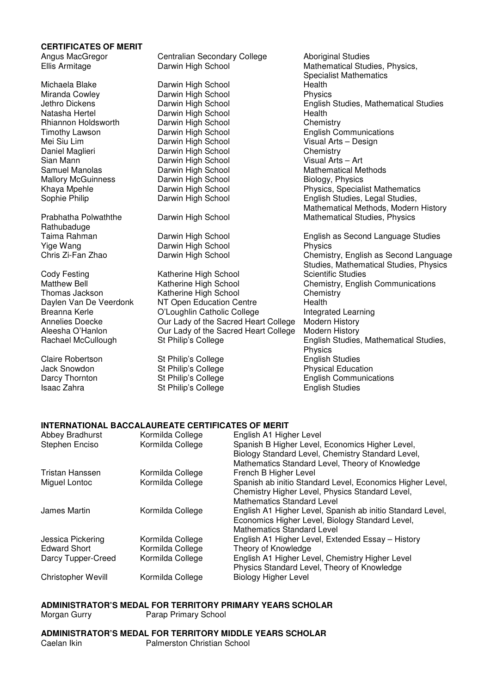#### **CERTIFICATES OF MERIT**

Mallory McGuinness

Rathubaduge<br>Taima Rahman

Isaac Zahra **St Philip's College English Studies** English Studies

Angus MacGregor Centralian Secondary College Aboriginal Studies Ellis Armitage **Darwin High School** Mathematical Studies, Physics, **Darwin High School** Mathematical Studies, Physics, Specialist Mathematics Michaela Blake Darwin High School Health Darwin High School<br>Darwin High School Jethro Dickens Darwin High School English Studies, Mathematical Studies Natasha Hertel **Darwin High School** Health<br>
Rhiannon Holdsworth Darwin High School **Chemistry** Rhiannon Holdsworth Darwin High School<br>Timothy Lawson Darwin High School Timothy Lawson Darwin High School English Communications Mei Siu Lim **Mei Siu Lim Charwin High School** Visual Arts Visual Arts – Darwin High School Visual Arts – Visual Arts – Designed Visual Arts – Designed Visual Arts – Designed Visual Arts – Designed Visual Arts – Designed Vi Daniel Maglieri **Darwin High School** Chemistry Chemistry<br>
Sian Mann **Chemistry** Darwin High School Chemistry Chemistry Chemistry Sian Mann **Darwin High School**<br>
Samuel Manolas – Carwin High School Darwin High School Mathematical Methods<br>
Darwin High School Mathematical Methods<br>
Biology, Physics Khaya Mpehle **Communist Character Character Character Character Character Character Character Character School**<br>
Sophie Philip **Communist Character Character Character Character Character Character Character Character Char** Sophie Philip **Darwin High School English Studies, Legal Studies**, Mathematical Methods, Modern History Prabhatha Polwaththe **Darwin High School** Mathematical Studies, Physics Darwin High School **English as Second Language Studies** Yige Wang Darwin High School Physics Chemistry, English as Second Language Studies, Mathematical Studies, Physics Cody Festing **Katherine High School** Scientific Studies Matthew Bell **Katherine High School** Chemistry, English Communications Thomas Jackson Katherine High School Chemistry Daylen Van De Veerdonk MT Open Education Centre Health Breanna Kerle **C'Loughlin Catholic College** Integrated Learning<br>Annelies Doecke **Integrated University** Our Lady of the Sacred Heart College Modern History Our Lady of the Sacred Heart College Aleesha O'Hanlon Our Lady of the Sacred Heart College Modern History Rachael McCullough St Philip's College English Studies, Mathematical Studies, Mathematical Studies, Physics Claire Robertson St Philip's College English Studies Jack Snowdon **St Philip's College** Physical Education Darcy Thornton **St Philip's College English Communications** 

### **INTERNATIONAL BACCALAUREATE CERTIFICATES OF MERIT**

| Abbey Bradhurst<br>Stephen Enciso | Kormilda College<br>Kormilda College | English A1 Higher Level<br>Spanish B Higher Level, Economics Higher Level,<br>Biology Standard Level, Chemistry Standard Level,<br>Mathematics Standard Level, Theory of Knowledge |
|-----------------------------------|--------------------------------------|------------------------------------------------------------------------------------------------------------------------------------------------------------------------------------|
| Tristan Hanssen                   | Kormilda College                     | French B Higher Level                                                                                                                                                              |
| Miguel Lontoc                     | Kormilda College                     | Spanish ab initio Standard Level, Economics Higher Level,<br>Chemistry Higher Level, Physics Standard Level,<br><b>Mathematics Standard Level</b>                                  |
| James Martin                      | Kormilda College                     | English A1 Higher Level, Spanish ab initio Standard Level,<br>Economics Higher Level, Biology Standard Level,<br><b>Mathematics Standard Level</b>                                 |
| Jessica Pickering                 | Kormilda College                     | English A1 Higher Level, Extended Essay - History                                                                                                                                  |
| <b>Edward Short</b>               | Kormilda College                     | Theory of Knowledge                                                                                                                                                                |
| Darcy Tupper-Creed                | Kormilda College                     | English A1 Higher Level, Chemistry Higher Level<br>Physics Standard Level, Theory of Knowledge                                                                                     |
| Christopher Wevill                | Kormilda College                     | <b>Biology Higher Level</b>                                                                                                                                                        |

# **ADMINISTRATOR'S MEDAL FOR TERRITORY PRIMARY YEARS SCHOLAR**

Morgan Gurry **Parap Primary School** 

**ADMINISTRATOR'S MEDAL FOR TERRITORY MIDDLE YEARS SCHOLAR** 

Palmerston Christian School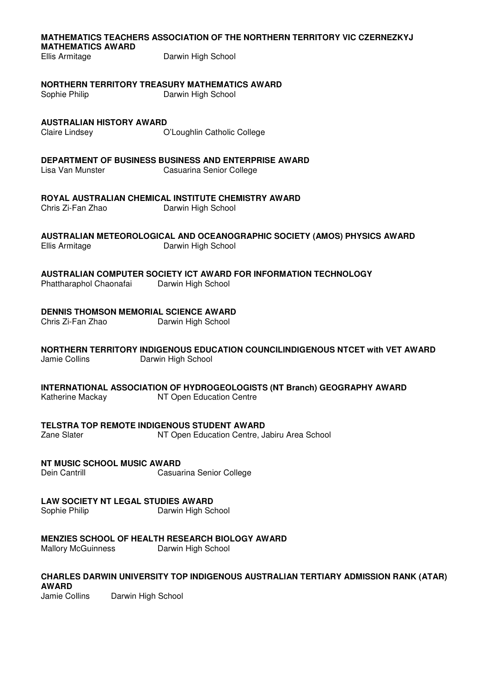### **MATHEMATICS TEACHERS ASSOCIATION OF THE NORTHERN TERRITORY VIC CZERNEZKYJ MATHEMATICS AWARD**

Ellis Armitage Darwin High School

### **NORTHERN TERRITORY TREASURY MATHEMATICS AWARD**

Sophie Philip Darwin High School

# **AUSTRALIAN HISTORY AWARD**

Claire Lindsey O'Loughlin Catholic College

# **DEPARTMENT OF BUSINESS BUSINESS AND ENTERPRISE AWARD**<br>Lisa Van Munster **Casuarina Senior College**

**Casuarina Senior College** 

# **ROYAL AUSTRALIAN CHEMICAL INSTITUTE CHEMISTRY AWARD**

Chris Zi-Fan Zhao Darwin High School

# **AUSTRALIAN METEOROLOGICAL AND OCEANOGRAPHIC SOCIETY (AMOS) PHYSICS AWARD**

Ellis Armitage Darwin High School

# **AUSTRALIAN COMPUTER SOCIETY ICT AWARD FOR INFORMATION TECHNOLOGY**

Phattharaphol Chaonafai Darwin High School

# **DENNIS THOMSON MEMORIAL SCIENCE AWARD**

Chris Zi-Fan Zhao Darwin High School

### **NORTHERN TERRITORY INDIGENOUS EDUCATION COUNCILINDIGENOUS NTCET with VET AWARD**  Jamie Collins Darwin High School

**INTERNATIONAL ASSOCIATION OF HYDROGEOLOGISTS (NT Branch) GEOGRAPHY AWARD**  Katherine Mackay NT Open Education Centre

### **TELSTRA TOP REMOTE INDIGENOUS STUDENT AWARD**

Zane Slater NT Open Education Centre, Jabiru Area School

### **NT MUSIC SCHOOL MUSIC AWARD**

Dein Cantrill **Casuarina Senior College** 

# **LAW SOCIETY NT LEGAL STUDIES AWARD**

Sophie Philip **Darwin High School** 

### **MENZIES SCHOOL OF HEALTH RESEARCH BIOLOGY AWARD**

Mallory McGuinness Darwin High School

#### **CHARLES DARWIN UNIVERSITY TOP INDIGENOUS AUSTRALIAN TERTIARY ADMISSION RANK (ATAR) AWARD**

Jamie Collins Darwin High School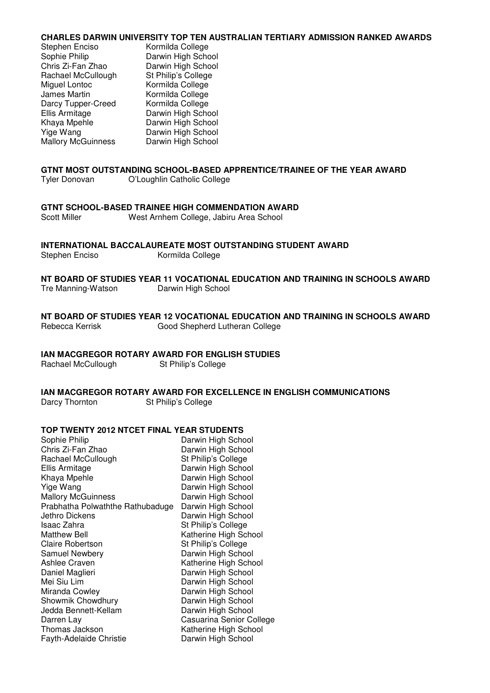### **CHARLES DARWIN UNIVERSITY TOP TEN AUSTRALIAN TERTIARY ADMISSION RANKED AWARDS**

| Stephen Enciso            | Kormilda College    |
|---------------------------|---------------------|
| Sophie Philip             | Darwin High School  |
| Chris Zi-Fan Zhao         | Darwin High School  |
| Rachael McCullough        | St Philip's College |
| Miguel Lontoc             | Kormilda College    |
| James Martin              | Kormilda College    |
| Darcy Tupper-Creed        | Kormilda College    |
| Ellis Armitage            | Darwin High School  |
| Khaya Mpehle              | Darwin High School  |
| Yige Wang                 | Darwin High School  |
| <b>Mallory McGuinness</b> | Darwin High School  |

# **GTNT MOST OUTSTANDING SCHOOL-BASED APPRENTICE/TRAINEE OF THE YEAR AWARD**

Tyler Donovan O'Loughlin Catholic College

### **GTNT SCHOOL-BASED TRAINEE HIGH COMMENDATION AWARD**

| Scott Miller | West Arnhem College, Jabiru Area School |
|--------------|-----------------------------------------|
|--------------|-----------------------------------------|

**INTERNATIONAL BACCALAUREATE MOST OUTSTANDING STUDENT AWARD** 

Stephen Enciso Kormilda College

**NT BOARD OF STUDIES YEAR 11 VOCATIONAL EDUCATION AND TRAINING IN SCHOOLS AWARD**  Tre Manning-Watson Darwin High School

**NT BOARD OF STUDIES YEAR 12 VOCATIONAL EDUCATION AND TRAINING IN SCHOOLS AWARD**  Rebecca Kerrisk Good Shepherd Lutheran College

### **IAN MACGREGOR ROTARY AWARD FOR ENGLISH STUDIES**

Rachael McCullough St Philip's College

### **IAN MACGREGOR ROTARY AWARD FOR EXCELLENCE IN ENGLISH COMMUNICATIONS**  Darcy Thornton St Philip's College

# **TOP TWENTY 2012 NTCET FINAL YEAR STUDENTS**

| TOP TWENTY 2012 NTCET FINAL YEAR STUDENTS |                          |  |  |
|-------------------------------------------|--------------------------|--|--|
| Sophie Philip                             | Darwin High School       |  |  |
| Chris Zi-Fan Zhao                         | Darwin High School       |  |  |
| Rachael McCullough                        | St Philip's College      |  |  |
| Ellis Armitage                            | Darwin High School       |  |  |
| Khaya Mpehle                              | Darwin High School       |  |  |
| Yige Wang                                 | Darwin High School       |  |  |
| <b>Mallory McGuinness</b>                 | Darwin High School       |  |  |
| Prabhatha Polwaththe Rathubaduge          | Darwin High School       |  |  |
| Jethro Dickens                            | Darwin High School       |  |  |
| Isaac Zahra                               | St Philip's College      |  |  |
| <b>Matthew Bell</b>                       | Katherine High School    |  |  |
| Claire Robertson                          | St Philip's College      |  |  |
| Samuel Newbery                            | Darwin High School       |  |  |
| Ashlee Craven                             | Katherine High School    |  |  |
| Daniel Maglieri                           | Darwin High School       |  |  |
| Mei Siu Lim                               | Darwin High School       |  |  |
| Miranda Cowley                            | Darwin High School       |  |  |
| Showmik Chowdhury                         | Darwin High School       |  |  |
| Jedda Bennett-Kellam                      | Darwin High School       |  |  |
| Darren Lay                                | Casuarina Senior College |  |  |
| Thomas Jackson                            | Katherine High School    |  |  |
| Fayth-Adelaide Christie                   | Darwin High School       |  |  |
|                                           |                          |  |  |